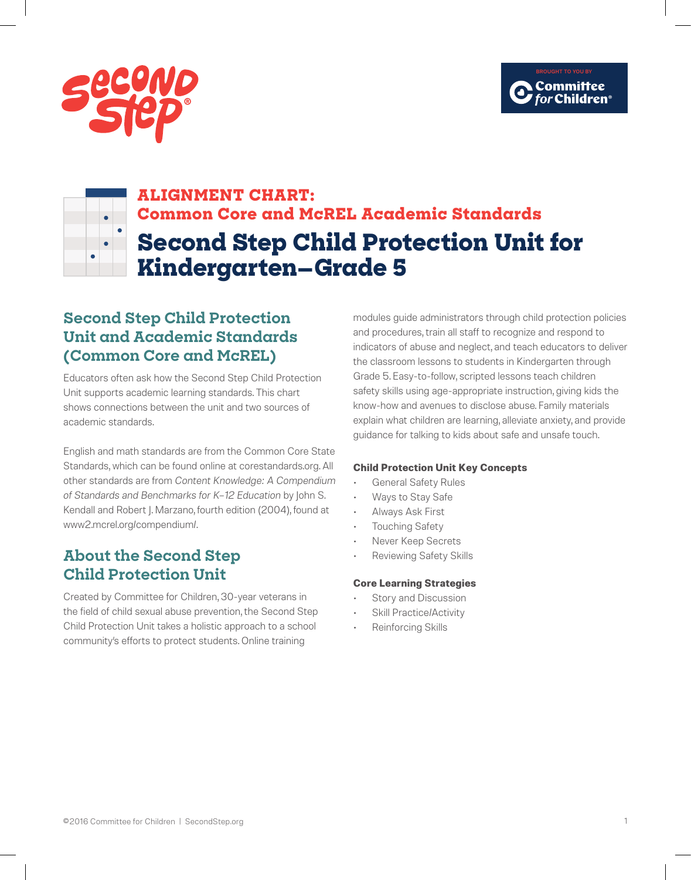



# **ALIGNMENT CHART: Common Core and McREL Academic Standards Second Step Child Protection Unit for Kindergarten—Grade 5**

## **Second Step Child Protection Unit and Academic Standards (Common Core and McREL)**

Educators often ask how the Second Step Child Protection Unit supports academic learning standards. This chart shows connections between the unit and two sources of academic standards.

English and math standards are from the Common Core State Standards, which can be found online at corestandards.org. All other standards are from *Content Knowledge: A Compendium of Standards and Benchmarks for K–12 Education* by John S. Kendall and Robert J. Marzano, fourth edition (2004), found at www2.mcrel.org/compendium/.

## **About the Second Step Child Protection Unit**

Created by Committee for Children, 30-year veterans in the field of child sexual abuse prevention, the Second Step Child Protection Unit takes a holistic approach to a school community's efforts to protect students. Online training

modules guide administrators through child protection policies and procedures, train all staff to recognize and respond to indicators of abuse and neglect, and teach educators to deliver the classroom lessons to students in Kindergarten through Grade 5. Easy-to-follow, scripted lessons teach children safety skills using age-appropriate instruction, giving kids the know-how and avenues to disclose abuse. Family materials explain what children are learning, alleviate anxiety, and provide guidance for talking to kids about safe and unsafe touch.

### **Child Protection Unit Key Concepts**

- General Safety Rules
- Ways to Stay Safe
- Always Ask First
- Touching Safety
- Never Keep Secrets
- Reviewing Safety Skills

### **Core Learning Strategies**

- Story and Discussion
- Skill Practice/Activity
- Reinforcing Skills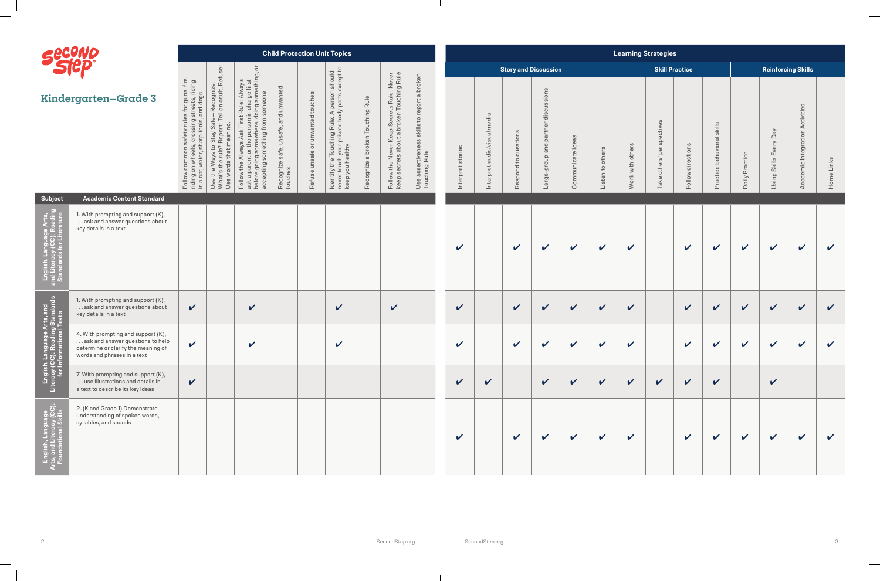$\overline{\phantom{0}}$ 

|                                                                                | SECOND                                                                                                                                       |                                                                                                                     |                                                                                                              |                                                                                                                                                                                                                          |                                                          |                                      | <b>Child Protection Unit Topics</b>                                                                                                                                               |                                          |                                                                                        |                                                                              |                   |                                                                    |                             |                                            |                            |                     | <b>Learning Strategies</b> |                                                                  |                       |                               |                   |                                                |                                       |              |
|--------------------------------------------------------------------------------|----------------------------------------------------------------------------------------------------------------------------------------------|---------------------------------------------------------------------------------------------------------------------|--------------------------------------------------------------------------------------------------------------|--------------------------------------------------------------------------------------------------------------------------------------------------------------------------------------------------------------------------|----------------------------------------------------------|--------------------------------------|-----------------------------------------------------------------------------------------------------------------------------------------------------------------------------------|------------------------------------------|----------------------------------------------------------------------------------------|------------------------------------------------------------------------------|-------------------|--------------------------------------------------------------------|-----------------------------|--------------------------------------------|----------------------------|---------------------|----------------------------|------------------------------------------------------------------|-----------------------|-------------------------------|-------------------|------------------------------------------------|---------------------------------------|--------------|
|                                                                                |                                                                                                                                              |                                                                                                                     |                                                                                                              | $\overline{\circ}$                                                                                                                                                                                                       |                                                          |                                      | $\overline{c}$                                                                                                                                                                    |                                          |                                                                                        |                                                                              |                   |                                                                    | <b>Story and Discussion</b> |                                            |                            |                     |                            |                                                                  | <b>Skill Practice</b> |                               |                   | <b>Reinforcing Skills</b>                      |                                       |              |
|                                                                                | <b>Kindergarten-Grade 3</b>                                                                                                                  | les for guns, fire,<br>g streets, riding<br>s, and dogs<br>issing<br>tools,<br>com<br>Follow<br>riding o<br>in a ca | -Recognize:<br>Il an adult. Refus<br>Safe<br>Stay<br>$\overline{O}$<br>way<br>Use the<br>What's t<br>Use wor | narge first<br>J something, ‹<br>Alway<br>someone<br>Rule:<br>doing<br>둥<br>ing from<br>Φ<br>$\Omega$<br>$\omega$<br>somethi<br>$\circ$<br>$\overline{Q}$<br>goin<br>ask a parer<br>before goir<br>accepting :<br>Follow | and unwanted<br>unsafe,<br>safe,<br>Recognize<br>touches | unwanted touches<br>Refuse unsafe or | n should<br>except to<br>e Touching Rule: A person s<br>h your private body parts ex<br>ealthy<br>fythe <sup>-</sup><br>touch<br>you hea<br>Identify<br>never to<br>never<br>keep | a broken Touching Rule<br>acognize<br>Re | Follow the Never Keep Secrets Rule: Never<br>keep secrets about a broken Touching Rule | to report a broken<br>skills<br>$\omega$<br>Use assertivene<br>Touching Rule | Interpret stories | media<br>io/visual<br>ㅎ<br>$\overline{a}$<br>$\vec{e}$<br>Interpro | questions<br>Respond to     | discussions<br>group and partner<br>Large- | Communicate ideas          | to others<br>Listen | Work with others           | rspectives<br>$\overline{\sigma}$<br>$\Omega$<br>others'<br>Take | Follow directions     | skills<br>Practice behavioral | Practice<br>Daily | $\sqrt{\mathsf{B}}$<br>Every<br>Using Skills I | Activities<br>Integration<br>Academic | Home Links   |
| <b>Subject</b>                                                                 | <b>Academic Content Standard</b>                                                                                                             |                                                                                                                     |                                                                                                              |                                                                                                                                                                                                                          |                                                          |                                      |                                                                                                                                                                                   |                                          |                                                                                        |                                                                              |                   |                                                                    |                             |                                            |                            |                     |                            |                                                                  |                       |                               |                   |                                                |                                       |              |
| Arts,<br>eading                                                                | 1. With prompting and support (K),<br>ask and answer questions about<br>key details in a text                                                |                                                                                                                     |                                                                                                              |                                                                                                                                                                                                                          |                                                          |                                      |                                                                                                                                                                                   |                                          |                                                                                        |                                                                              | $\checkmark$      |                                                                    | $\checkmark$                | $\checkmark$                               | $\checkmark$               | $\mathbf v$         | $\mathbf v$                |                                                                  | $\checkmark$          | $\checkmark$                  | $\checkmark$      | $\checkmark$                                   | $\checkmark$                          | $\checkmark$ |
| Arts, and<br>Ig Standards<br>Il Texts                                          | 1. With prompting and support (K),<br>ask and answer questions about<br>key details in a text                                                | $\checkmark$                                                                                                        |                                                                                                              | $\boldsymbol{\mathcal{U}}$                                                                                                                                                                                               |                                                          |                                      | $\checkmark$                                                                                                                                                                      |                                          | $\mathbf v$                                                                            |                                                                              | $\checkmark$      |                                                                    | $\checkmark$                | $\checkmark$                               | $\checkmark$               | $\checkmark$        | $\mathbf v$                |                                                                  | $\checkmark$          | $\boldsymbol{\nu}$            | $\checkmark$      | $\checkmark$                                   | $\checkmark$                          | $\checkmark$ |
|                                                                                | 4. With prompting and support (K),<br>ask and answer questions to help<br>determine or clarify the meaning of<br>words and phrases in a text | $\checkmark$                                                                                                        |                                                                                                              | $\checkmark$                                                                                                                                                                                                             |                                                          |                                      | $\checkmark$                                                                                                                                                                      |                                          |                                                                                        |                                                                              | V                 |                                                                    | $\checkmark$                | $\mathbf v$                                | $\boldsymbol{\mathcal{U}}$ | $\checkmark$        | $\mathbf v$                |                                                                  | $\checkmark$          | $\boldsymbol{\mathcal{U}}$    | $\checkmark$      | $\checkmark$                                   | $\boldsymbol{\mathcal{U}}$            | $\checkmark$ |
| English, Lar<br>Literacy (CC):<br>for Inforn                                   | 7. With prompting and support (K),<br>use illustrations and details in<br>a text to describe its key ideas                                   | $\checkmark$                                                                                                        |                                                                                                              |                                                                                                                                                                                                                          |                                                          |                                      |                                                                                                                                                                                   |                                          |                                                                                        |                                                                              | $\mathbf{v}$      | $\checkmark$                                                       |                             | $\sqrt{2}$                                 | $\checkmark$               | $\mathbf{v}$        | $\sqrt{2}$                 | $\checkmark$                                                     | $\sqrt{2}$            | $\checkmark$                  |                   | $\mathbf v$                                    |                                       |              |
| English, Language<br>:s, and Literacy (CC):<br><sup>-</sup> oundational Skills | 2. (K and Grade 1) Demonstrate<br>understanding of spoken words,<br>syllables, and sounds                                                    |                                                                                                                     |                                                                                                              |                                                                                                                                                                                                                          |                                                          |                                      |                                                                                                                                                                                   |                                          |                                                                                        |                                                                              | $\checkmark$      |                                                                    | $\checkmark$                | $\checkmark$                               | $\mathbf v$                | $\checkmark$        | $\checkmark$               |                                                                  | $\checkmark$          | $\checkmark$                  | $\sqrt{2}$        | $\checkmark$                                   | $\checkmark$                          | $\checkmark$ |

 $\mathbf{L}$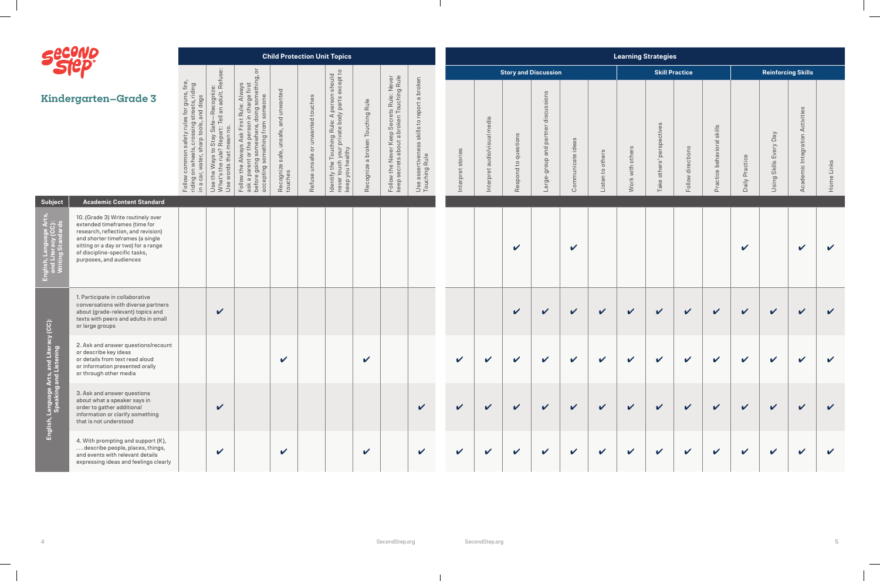

|                                                   | Sucuve                                                                                                                                                                                                                                             |                                                                                       |                                                                                                                                                                           |                                                                                                                                                                                                                                            |                                                         |                                      | <b>Child Protection Unit Topics</b>                                                                                                                               |                                     |                                                                                        |                                                                                 |                            |                                                                      |                         |                                               |                                   |                  | <b>Learning Strategies</b> |                                                 |                       |                                                    |                            |                                        |                                           |                            |
|---------------------------------------------------|----------------------------------------------------------------------------------------------------------------------------------------------------------------------------------------------------------------------------------------------------|---------------------------------------------------------------------------------------|---------------------------------------------------------------------------------------------------------------------------------------------------------------------------|--------------------------------------------------------------------------------------------------------------------------------------------------------------------------------------------------------------------------------------------|---------------------------------------------------------|--------------------------------------|-------------------------------------------------------------------------------------------------------------------------------------------------------------------|-------------------------------------|----------------------------------------------------------------------------------------|---------------------------------------------------------------------------------|----------------------------|----------------------------------------------------------------------|-------------------------|-----------------------------------------------|-----------------------------------|------------------|----------------------------|-------------------------------------------------|-----------------------|----------------------------------------------------|----------------------------|----------------------------------------|-------------------------------------------|----------------------------|
|                                                   |                                                                                                                                                                                                                                                    |                                                                                       |                                                                                                                                                                           | $\overline{\circ}$                                                                                                                                                                                                                         |                                                         |                                      | ept to                                                                                                                                                            |                                     |                                                                                        |                                                                                 |                            |                                                                      |                         | <b>Story and Discussion</b>                   |                                   |                  |                            |                                                 | <b>Skill Practice</b> |                                                    |                            |                                        | <b>Reinforcing Skills</b>                 |                            |
|                                                   | <b>Kindergarten-Grade 3</b>                                                                                                                                                                                                                        | es for guns, fire,<br>streets, riding<br>and dogs<br>Follow<br>riding car<br>in a car | fe—Recognize:<br>Tell an adult. Refu<br>Safe<br>$\circ$<br>Stav<br>$\circ$<br>waw<br>$\circ$<br>ds<br>ŧ<br>the<br>$\overline{w}$<br>$\omega$<br>Use th<br>What's<br>Use w | ething,<br>st<br>Always<br>charge fir<br>someone<br>som<br>Rule:<br>pujo<br>ᅙ<br>before going somewhere, c<br>accepting something from<br>$\Omega$<br>$\omega$<br>$\mathbb O$<br>$\Omega$<br>Follow<br>$\varpi$<br>$\frac{\times}{\infty}$ | and unwanted<br>safe, unsafe,<br>Recognize s<br>touches | unwanted touches<br>Refuse unsafe or | should<br>exc<br>person<br>a Touching Rule: A person<br>h your private body parts e<br>ealthy<br>등<br>you hea<br>the<br>tou<br>ldentify t<br>never to<br>keep you | a broken Touching Rule<br>Recognize | Follow the Never Keep Secrets Rule: Never<br>keep secrets about a broken Touching Rule | a broken<br>to report<br>skills<br>$\omega$<br>Use assertivene<br>Touching Rule | Interpret stories          | edia<br>Ξ<br>sual<br>o/vi<br>气<br>$\overline{\phantom{0}}$<br>erpret | to questions<br>Respond | discussions<br>partner<br>group and<br>Large- | $\infty$<br>ate ideas<br>Communic | Listen to others | with others<br>Work        | rspectives<br><b>Be</b><br>ັທ<br>others<br>Take | Follow directions     | skills<br>$\overline{\sigma}$<br>Practice behavior | Practice<br>Daily          | Veq<br>Every<br><b>Skills</b><br>Using | Activities<br>Integration<br>demic<br>Aca | Home Links                 |
| <b>Subject</b>                                    | <b>Academic Content Standard</b>                                                                                                                                                                                                                   |                                                                                       |                                                                                                                                                                           |                                                                                                                                                                                                                                            |                                                         |                                      |                                                                                                                                                                   |                                     |                                                                                        |                                                                                 |                            |                                                                      |                         |                                               |                                   |                  |                            |                                                 |                       |                                                    |                            |                                        |                                           |                            |
| uage Arts,<br>y (CC):                             | 10. (Grade 3) Write routinely over<br>extended timeframes (time for<br>research, reflection, and revision)<br>and shorter timeframes (a single<br>sitting or a day or two) for a range<br>of discipline-specific tasks,<br>purposes, and audiences |                                                                                       |                                                                                                                                                                           |                                                                                                                                                                                                                                            |                                                         |                                      |                                                                                                                                                                   |                                     |                                                                                        |                                                                                 |                            |                                                                      | $\checkmark$            |                                               | $\checkmark$                      |                  |                            |                                                 |                       |                                                    | $\boldsymbol{\mathcal{U}}$ |                                        | $\mathbf v$                               | $\checkmark$               |
|                                                   | 1. Participate in collaborative<br>conversations with diverse partners<br>about (grade-relevant) topics and<br>texts with peers and adults in small<br>or large groups                                                                             |                                                                                       | $\boldsymbol{\mathcal{U}}$                                                                                                                                                |                                                                                                                                                                                                                                            |                                                         |                                      |                                                                                                                                                                   |                                     |                                                                                        |                                                                                 |                            |                                                                      | $\checkmark$            | $\checkmark$                                  | $\checkmark$                      | $\checkmark$     | $\boldsymbol{\mathcal{U}}$ | $\checkmark$                                    | $\checkmark$          | $\checkmark$                                       | $\checkmark$               | $\checkmark$                           | $\checkmark$                              | $\boldsymbol{\mathcal{U}}$ |
| d Literacy (CC):<br>ening                         | 2. Ask and answer questions/recount<br>or describe key ideas<br>or details from text read aloud<br>or information presented orally<br>or through other media                                                                                       |                                                                                       |                                                                                                                                                                           |                                                                                                                                                                                                                                            | $\sqrt{2}$                                              |                                      |                                                                                                                                                                   | $\boldsymbol{\nu}$                  |                                                                                        |                                                                                 | $\boldsymbol{\nu}$         | $\boldsymbol{\nu}$                                                   | $\boldsymbol{\nu}$      | $\boldsymbol{\nu}$                            | $\mathbf{v}$                      | $\mathbf{v}$     | $\boldsymbol{\nu}$         | $\boldsymbol{\mathcal{U}}$                      | $\mathbf{v}$          | $\boldsymbol{\mathcal{U}}$                         | $\boldsymbol{\nu}$         | $\mathbf{v}$                           | $\boldsymbol{\mathcal{L}}$                | $\mathbf{v}$               |
| English, Language Arts, and<br>Speaking and Liste | 3. Ask and answer questions<br>about what a speaker says in<br>order to gather additional<br>information or clarify something<br>that is not understood                                                                                            |                                                                                       | $\checkmark$                                                                                                                                                              |                                                                                                                                                                                                                                            |                                                         |                                      |                                                                                                                                                                   |                                     |                                                                                        | $\checkmark$                                                                    | $\boldsymbol{\mathcal{U}}$ |                                                                      | $\checkmark$            | $\mathbf v$                                   | $\boldsymbol{\mathcal{U}}$        | $\checkmark$     | $\boldsymbol{\mathcal{U}}$ | $\checkmark$                                    | $\checkmark$          | $\boldsymbol{\mathcal{U}}$                         | $\checkmark$               | $\boldsymbol{\mathcal{U}}$             |                                           | $\mathbf{v}$               |
|                                                   | 4. With prompting and support (K),<br>describe people, places, things,<br>and events with relevant details<br>expressing ideas and feelings clearly                                                                                                |                                                                                       | $\mathbf v$                                                                                                                                                               |                                                                                                                                                                                                                                            | $\checkmark$                                            |                                      |                                                                                                                                                                   | $\mathbf v$                         |                                                                                        | $\checkmark$                                                                    | $\boldsymbol{\nu}$         |                                                                      | $\checkmark$            | $\mathbf v$                                   | $\checkmark$                      | $\mathbf v$      | $\mathbf v$                | $\boldsymbol{\mathcal{U}}$                      | $\checkmark$          | $\checkmark$                                       | $\boldsymbol{\mathcal{U}}$ | $\mathbf v$                            | $\sqrt{2}$                                | $\boldsymbol{\mathcal{U}}$ |

 $\mathbf{I}$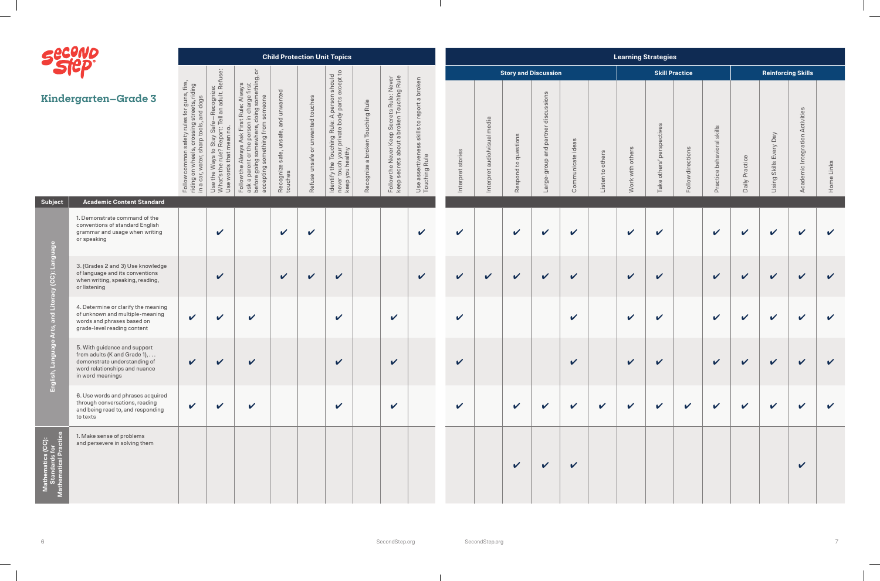

|                                    | <b>Seevile</b>                                                                                                                                    |                                                                                                                              |                                                                                                                                |                                                                                                                                                                                                                                                                                |                                                              |                                                                    | <b>Child Protection Unit Topics</b>                                                                                                                                                  |                                     |                                                                                                                       |                                                                                  |                          |                                    |                                                                    |                                                                                    |                            |                                    | <b>Learning Strategies</b> |                                             |                       |                                           |                            |                              |                                                   |                            |
|------------------------------------|---------------------------------------------------------------------------------------------------------------------------------------------------|------------------------------------------------------------------------------------------------------------------------------|--------------------------------------------------------------------------------------------------------------------------------|--------------------------------------------------------------------------------------------------------------------------------------------------------------------------------------------------------------------------------------------------------------------------------|--------------------------------------------------------------|--------------------------------------------------------------------|--------------------------------------------------------------------------------------------------------------------------------------------------------------------------------------|-------------------------------------|-----------------------------------------------------------------------------------------------------------------------|----------------------------------------------------------------------------------|--------------------------|------------------------------------|--------------------------------------------------------------------|------------------------------------------------------------------------------------|----------------------------|------------------------------------|----------------------------|---------------------------------------------|-----------------------|-------------------------------------------|----------------------------|------------------------------|---------------------------------------------------|----------------------------|
|                                    |                                                                                                                                                   |                                                                                                                              |                                                                                                                                | $\overline{\circ}$                                                                                                                                                                                                                                                             |                                                              |                                                                    |                                                                                                                                                                                      |                                     |                                                                                                                       |                                                                                  |                          |                                    | <b>Story and Discussion</b>                                        |                                                                                    |                            |                                    |                            |                                             | <b>Skill Practice</b> |                                           |                            |                              | <b>Reinforcing Skills</b>                         |                            |
|                                    | Kindergarten–Grade 3                                                                                                                              | r guns, fire,<br>ets, riding<br>I dogs<br>stree<br>and<br>$\sigma$<br>$\overline{\circ}$<br>Follow<br>riding car<br>in a car | -Recognize:<br>I an adult. Refuse:<br>Tell<br>Safe<br>tay<br>Rep<br>ပာ<br>$\circ$<br>$\circ$<br>운<br>Use th<br>What's<br>Use w | something,<br>Always<br>ge first<br>ione<br>ie:<br>puio<br>둥<br>๔<br>$\omega$<br>$\omega$<br>$\overline{O}$<br>fro<br><i>mething</i><br>⊲<br>$\circ$<br>C<br>$\sigma$<br>accepting s<br>$\frac{1}{2}$<br>$\circ$<br>는<br>$\sigma$<br>b<br>Follow to a p<br>$\bigcirc$<br>befor | unwanted<br>and<br>unsafe,<br>safe,<br>Recognize:<br>touches | unwanted touches<br>$\overleftarrow{\mathrm{o}}$<br>safe<br>Refuse | n should<br>except to<br>person :<br>y parts e:<br>Rule: A part<br>Touching<br>your priva<br>althy<br>$\circ$ $\circ$<br>Φ<br>Identify the<br>never touch<br>keep you h <sub>!</sub> | a broken Touching Rule<br>Recognize | ep Secrets Rule: Never<br>a broken Touching Rule<br>Ke <sub>l</sub><br>Follow the Never <b>k</b><br>keep secrets abou | a broken<br>report<br>skills to<br>SS<br>rtiven<br>Rule<br>Use asser<br>Touching | stories<br>Interpret     | media<br>audio/visual<br>Interpret | $\omega$<br>estion<br>Đ,<br>$\mathbb{C}^1$<br>Respond <sub>1</sub> | sions<br>5<br>dis<br>$\overleftarrow{\Theta}$<br>1<br>par<br>and<br>dronb<br>Large | Communicate ideas          | others<br>$\mathbb{C}^1$<br>Listen | others<br>with<br>Work     | ectives<br>S <sub>D</sub><br>ັທ<br>Take oth | directions<br>Follow  | skills<br>loral<br>ivs<br>beh<br>Practice | Practice<br>Daily          | Every Day<br>Skills<br>Using | $\omega$<br>Activities<br>Integration<br>Academic | Home Links                 |
| Subject                            | <b>Academic Content Standard</b>                                                                                                                  |                                                                                                                              |                                                                                                                                |                                                                                                                                                                                                                                                                                |                                                              |                                                                    |                                                                                                                                                                                      |                                     |                                                                                                                       |                                                                                  |                          |                                    |                                                                    |                                                                                    |                            |                                    |                            |                                             |                       |                                           |                            |                              |                                                   |                            |
|                                    | 1. Demonstrate command of the<br>conventions of standard English<br>grammar and usage when writing<br>or speaking                                 |                                                                                                                              | $\vee$                                                                                                                         |                                                                                                                                                                                                                                                                                | $\checkmark$                                                 | $\checkmark$                                                       |                                                                                                                                                                                      |                                     |                                                                                                                       | V                                                                                | $\mathbf v$              |                                    | $\checkmark$                                                       | $\mathbf v$                                                                        | $\mathbf v$                |                                    | $\checkmark$               | $\checkmark$                                |                       | $\checkmark$                              | $\boldsymbol{\mathcal{U}}$ | $\checkmark$                 | $\mathbf v$                                       | $\checkmark$               |
| Language<br>(CC):                  | 3. (Grades 2 and 3) Use knowledge<br>of language and its conventions<br>when writing, speaking, reading,<br>or listening                          |                                                                                                                              | $\checkmark$                                                                                                                   |                                                                                                                                                                                                                                                                                | $\checkmark$                                                 | $\checkmark$                                                       | $\checkmark$                                                                                                                                                                         |                                     |                                                                                                                       | $\boldsymbol{\mathcal{U}}$                                                       | $\checkmark$             | $\checkmark$                       | $\checkmark$                                                       | $\checkmark$                                                                       | $\checkmark$               |                                    | $\checkmark$               | $\checkmark$                                |                       | $\checkmark$                              | $\mathbf v$                | $\checkmark$                 | $\checkmark$                                      | $\checkmark$               |
|                                    | 4. Determine or clarify the meaning<br>of unknown and multiple-meaning<br>words and phrases based on<br>grade-level reading content               | $\mathbf v$                                                                                                                  | $\boldsymbol{\mathcal{U}}$                                                                                                     | $\checkmark$                                                                                                                                                                                                                                                                   |                                                              |                                                                    | $\boldsymbol{\mathcal{U}}$                                                                                                                                                           |                                     | $\checkmark$                                                                                                          |                                                                                  | $\checkmark$             |                                    |                                                                    |                                                                                    | $\checkmark$               |                                    | $\checkmark$               | $\checkmark$                                |                       | $\checkmark$                              | $\checkmark$               | $\mathbf v$                  | $\checkmark$                                      | $\checkmark$               |
| English,                           | 5. With guidance and support<br>from adults (K and Grade 1),<br>demonstrate understanding of<br>word relationships and nuance<br>in word meanings | $\mathbf{v}$                                                                                                                 | $\vee$                                                                                                                         | $\mathbf{v}$                                                                                                                                                                                                                                                                   |                                                              |                                                                    | $\boldsymbol{\nu}$                                                                                                                                                                   |                                     | $\mathbf{v}$                                                                                                          |                                                                                  | $\overline{\phantom{a}}$ |                                    |                                                                    |                                                                                    | $\boldsymbol{\mathcal{U}}$ |                                    | $\mathcal{L}$              | $\boldsymbol{\nu}$                          |                       | $\sim$ $\sim$                             | $\overline{1}$             | $\sim$ $\sim$ $\sim$         | $\sim$                                            |                            |
|                                    | 6. Use words and phrases acquired<br>through conversations, reading<br>and being read to, and responding<br>to texts                              | $\checkmark$                                                                                                                 | $\checkmark$                                                                                                                   | $\mathbf v$                                                                                                                                                                                                                                                                    |                                                              |                                                                    | $\mathbf v$                                                                                                                                                                          |                                     | $\checkmark$                                                                                                          |                                                                                  | $\checkmark$             |                                    | $\checkmark$                                                       | $\mathbf{v}$                                                                       | $\mathbf{v}$               | $\mathbf{v}$                       | $\checkmark$               | $\boldsymbol{\mathcal{U}}$                  | $\mathbf v$           | $\mathbf{v}$                              | $\mathbf v$                | $\mathbf v$                  | $\mathbf v$                                       | $\boldsymbol{\mathcal{U}}$ |
| (CC):<br><sup>ior</sup><br>ractice | 1. Make sense of problems<br>and persevere in solving them                                                                                        |                                                                                                                              |                                                                                                                                |                                                                                                                                                                                                                                                                                |                                                              |                                                                    |                                                                                                                                                                                      |                                     |                                                                                                                       |                                                                                  |                          |                                    | $\checkmark$                                                       | $\boldsymbol{\nu}$                                                                 | $\mathbf v$                |                                    |                            |                                             |                       |                                           |                            |                              | $\boldsymbol{\mathcal{U}}$                        |                            |

 $\blacksquare$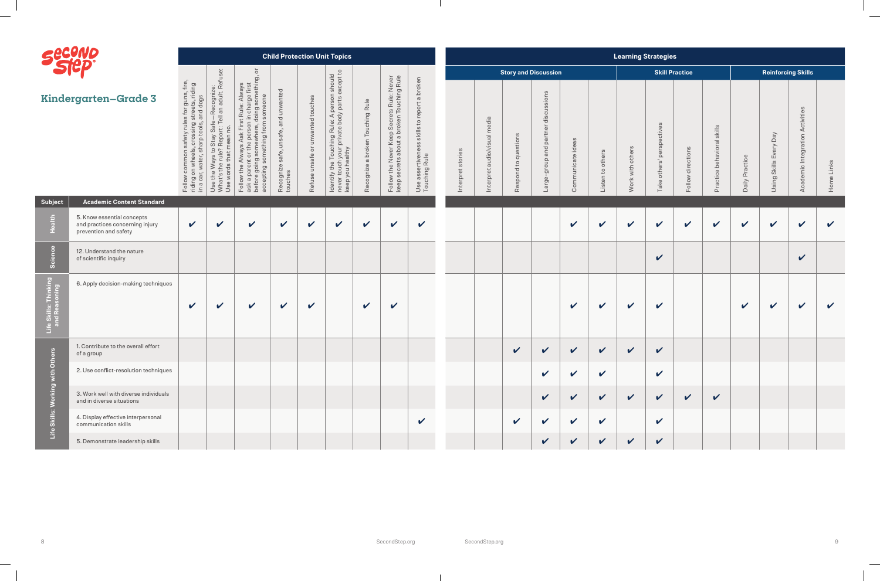

| Seeville                                                  |                                                                                        |                                                                                                                                                                         |                                                                                                                                                                                             |                                                                                                                                                                                                                                                                                                                                                                                       |                                                       |                                         | <b>Child Protection Unit Topics</b>                                                                                                                                                                        |                                           |                                                                                        |                                                                                                       |                   |                                                                                                                      |                                        |                                               |                              |                     | <b>Learning Strategies</b> |                                    |                            |                                                                       |                            |                                               |                                                |              |
|-----------------------------------------------------------|----------------------------------------------------------------------------------------|-------------------------------------------------------------------------------------------------------------------------------------------------------------------------|---------------------------------------------------------------------------------------------------------------------------------------------------------------------------------------------|---------------------------------------------------------------------------------------------------------------------------------------------------------------------------------------------------------------------------------------------------------------------------------------------------------------------------------------------------------------------------------------|-------------------------------------------------------|-----------------------------------------|------------------------------------------------------------------------------------------------------------------------------------------------------------------------------------------------------------|-------------------------------------------|----------------------------------------------------------------------------------------|-------------------------------------------------------------------------------------------------------|-------------------|----------------------------------------------------------------------------------------------------------------------|----------------------------------------|-----------------------------------------------|------------------------------|---------------------|----------------------------|------------------------------------|----------------------------|-----------------------------------------------------------------------|----------------------------|-----------------------------------------------|------------------------------------------------|--------------|
|                                                           |                                                                                        |                                                                                                                                                                         |                                                                                                                                                                                             | $\overline{\sigma}$                                                                                                                                                                                                                                                                                                                                                                   |                                                       |                                         |                                                                                                                                                                                                            |                                           |                                                                                        |                                                                                                       |                   |                                                                                                                      | <b>Story and Discussion</b>            |                                               |                              |                     |                            |                                    | <b>Skill Practice</b>      |                                                                       |                            |                                               | <b>Reinforcing Skills</b>                      |              |
|                                                           | <b>Kindergarten-Grade 3</b>                                                            | es for guns, fire,<br>I streets, riding<br>, and dogs<br>rules for<br>ssing:<br>tools,<br>afety<br>sharp<br>wate<br>com<br>Follow contribution<br>in a car <sub>,</sub> | -Recognize:<br>Il an adult. Refu<br>Safe<br>Ë<br>o,<br>$\overline{C}$<br>Stay<br>Re<br>Φ<br>$2 \tilde{c}$<br>tha<br>S<br>Way<br>$\mathbb O$<br>words<br>든<br>Use the<br>What's t<br>Use wor | lething,<br>$\omega$<br>$\overline{\phantom{0}}$<br>Alway:<br>charge fir.<br>som<br>someone<br>Rule:<br>$\sigma$<br>doin<br>something from<br>$\frac{1}{3}$<br>$\Omega$<br>◁<br>$\mathbb O$<br>$\omega$<br>$\circ$<br>$\sigma$<br>$\widetilde{\Xi}$<br>$\prec$<br>io<br>before goin<br>accepting s<br>$\omega$<br>$\underline{\sigma}$<br>운<br>a pa<br>Follow<br>$\frac{1}{\sqrt{2}}$ | unsafe, and unwanted<br>safe,<br>Recognize<br>touches | unwanted touches<br>unsafe or<br>Refuse | except to<br>should<br>person<br>parts<br>hing Rule: A p.<br>private body p.<br>Touching I<br>I your priva<br>salthy<br>등<br>you hea<br>$\circ$<br>高<br>tou<br>Identify<br>$\overline{ }$<br>never<br>keep | a broken Touching Rule<br>ezingoos<br>Rei | Follow the Never Keep Secrets Rule: Never<br>keep secrets about a broken Touching Rule | a broken<br>report<br>$\mathbb{C}^1$<br>skills<br>$\omega$<br>Use assertivene<br>Touching Rule<br>Use | Interpret stories | media<br>udio/visual<br>$\sigma$<br>$\sigma$<br>$\overline{\Delta}$<br>$\overline{\Phi}$<br>$\overline{\phantom{0}}$ | questions<br>$\overline{c}$<br>Respond | discussions<br>partner<br>group and<br>Large- | ဖ<br>idea<br>ate<br>Communic | to others<br>Listen | others<br>with<br>Work     | spectives<br>pe<br>others'<br>Take | directions<br>Follow       | skills<br>$\overline{\sigma}$<br>behaviora<br>ictice<br>$\sigma$<br>Ĕ | Practice<br>Daily          | $\sqrt{e}$<br>Every<br><b>Skills</b><br>Using | $\omega$<br>Activities<br>Academic Integration | Home Links   |
| <b>Subject</b>                                            | <b>Academic Content Standard</b>                                                       |                                                                                                                                                                         |                                                                                                                                                                                             |                                                                                                                                                                                                                                                                                                                                                                                       |                                                       |                                         |                                                                                                                                                                                                            |                                           |                                                                                        |                                                                                                       |                   |                                                                                                                      |                                        |                                               |                              |                     |                            |                                    |                            |                                                                       |                            |                                               |                                                |              |
| Health                                                    | 5. Know essential concepts<br>and practices concerning injury<br>prevention and safety | $\mathbf v$                                                                                                                                                             | $\boldsymbol{\mathcal{U}}$                                                                                                                                                                  | V                                                                                                                                                                                                                                                                                                                                                                                     | $\boldsymbol{\mathcal{U}}$                            | V                                       | V                                                                                                                                                                                                          | $\checkmark$                              | $\checkmark$                                                                           | $\checkmark$                                                                                          |                   |                                                                                                                      |                                        |                                               | $\checkmark$                 | V                   | $\boldsymbol{\nu}$         | $\checkmark$                       | $\boldsymbol{\mathcal{U}}$ | $\boldsymbol{\mathcal{U}}$                                            | $\boldsymbol{\mathcal{U}}$ | $\checkmark$                                  | $\checkmark$                                   | $\mathbf v$  |
| Science                                                   | 12. Understand the nature<br>of scientific inquiry                                     |                                                                                                                                                                         |                                                                                                                                                                                             |                                                                                                                                                                                                                                                                                                                                                                                       |                                                       |                                         |                                                                                                                                                                                                            |                                           |                                                                                        |                                                                                                       |                   |                                                                                                                      |                                        |                                               |                              |                     |                            | $\checkmark$                       |                            |                                                                       |                            |                                               | $\checkmark$                                   |              |
| s: Thinking<br><sup>asoning</sup><br>Life Skill<br>and Re | 6. Apply decision-making techniques                                                    | $\checkmark$                                                                                                                                                            | $\checkmark$                                                                                                                                                                                | V                                                                                                                                                                                                                                                                                                                                                                                     | $\checkmark$                                          | $\checkmark$                            |                                                                                                                                                                                                            | $\checkmark$                              | $\checkmark$                                                                           |                                                                                                       |                   |                                                                                                                      |                                        |                                               | $\checkmark$                 | $\mathbf v$         | $\checkmark$               | $\checkmark$                       |                            |                                                                       | $\checkmark$               | $\checkmark$                                  | $\checkmark$                                   | $\checkmark$ |
| ers                                                       | 1. Contribute to the overall effort<br>of a group                                      |                                                                                                                                                                         |                                                                                                                                                                                             |                                                                                                                                                                                                                                                                                                                                                                                       |                                                       |                                         |                                                                                                                                                                                                            |                                           |                                                                                        |                                                                                                       |                   |                                                                                                                      | $\checkmark$                           | V                                             | $\checkmark$                 | $\checkmark$        | $\boldsymbol{\mathcal{U}}$ | $\checkmark$                       |                            |                                                                       |                            |                                               |                                                |              |
|                                                           | 2. Use conflict-resolution techniques                                                  |                                                                                                                                                                         |                                                                                                                                                                                             |                                                                                                                                                                                                                                                                                                                                                                                       |                                                       |                                         |                                                                                                                                                                                                            |                                           |                                                                                        |                                                                                                       |                   |                                                                                                                      |                                        | $\checkmark$                                  | $\mathbf v$                  | $\checkmark$        |                            | $\checkmark$                       |                            |                                                                       |                            |                                               |                                                |              |
| Life Skills: Working with Ot                              | 3. Work well with diverse individuals<br>and in diverse situations                     |                                                                                                                                                                         |                                                                                                                                                                                             |                                                                                                                                                                                                                                                                                                                                                                                       |                                                       |                                         |                                                                                                                                                                                                            |                                           |                                                                                        |                                                                                                       |                   |                                                                                                                      |                                        | $\mathbf v$                                   | $\checkmark$                 | $\checkmark$        | $\checkmark$               | $\checkmark$                       | $\checkmark$               | $\mathbf v$                                                           |                            |                                               |                                                |              |
|                                                           | 4. Display effective interpersonal<br>communication skills                             |                                                                                                                                                                         |                                                                                                                                                                                             |                                                                                                                                                                                                                                                                                                                                                                                       |                                                       |                                         |                                                                                                                                                                                                            |                                           |                                                                                        | $\checkmark$                                                                                          |                   |                                                                                                                      | $\checkmark$                           | $\checkmark$                                  | $\checkmark$                 | $\checkmark$        |                            | $\mathbf v$                        |                            |                                                                       |                            |                                               |                                                |              |
|                                                           | 5. Demonstrate leadership skills                                                       |                                                                                                                                                                         |                                                                                                                                                                                             |                                                                                                                                                                                                                                                                                                                                                                                       |                                                       |                                         |                                                                                                                                                                                                            |                                           |                                                                                        |                                                                                                       |                   |                                                                                                                      |                                        | $\mathbf{v}$                                  | $\checkmark$                 | $\checkmark$        | $\checkmark$               | $\checkmark$                       |                            |                                                                       |                            |                                               |                                                |              |

 $\mathbf{L}$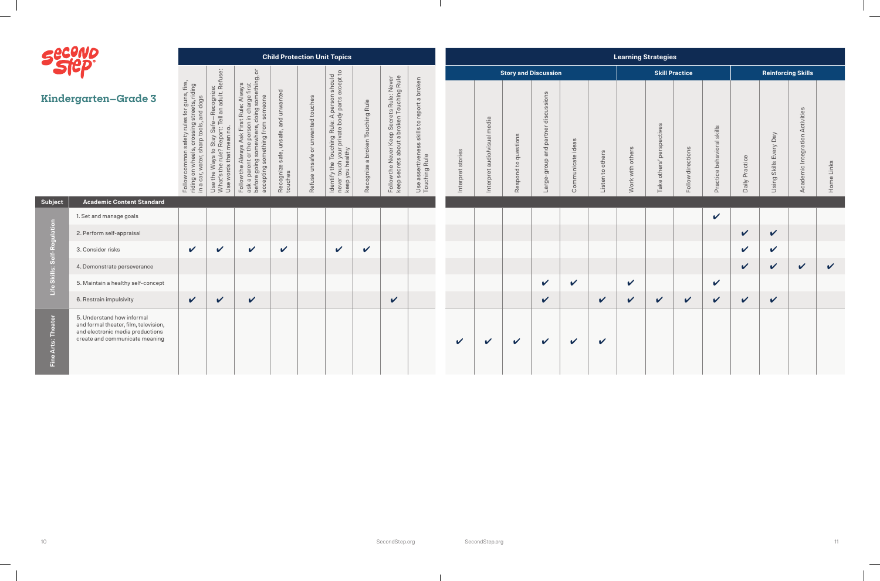

**Academic Content Subject** 

| Seevre                |                                                                                                                                           |                                                                                                                                                                    |                                                                                                                                                                                        |                                                                                                                                                                                                                                                                  |                                                         |                                                                   | <b>Child Protection Unit Topics</b>                                                                                                                          |                                  |                                                                                        |                                                                                      |                   |                                        |                                                              |                                                               |                            |                                    |                     | <b>Learning Strategies</b>                              |                       |                                                           |                |                                                           |                                                        |              |
|-----------------------|-------------------------------------------------------------------------------------------------------------------------------------------|--------------------------------------------------------------------------------------------------------------------------------------------------------------------|----------------------------------------------------------------------------------------------------------------------------------------------------------------------------------------|------------------------------------------------------------------------------------------------------------------------------------------------------------------------------------------------------------------------------------------------------------------|---------------------------------------------------------|-------------------------------------------------------------------|--------------------------------------------------------------------------------------------------------------------------------------------------------------|----------------------------------|----------------------------------------------------------------------------------------|--------------------------------------------------------------------------------------|-------------------|----------------------------------------|--------------------------------------------------------------|---------------------------------------------------------------|----------------------------|------------------------------------|---------------------|---------------------------------------------------------|-----------------------|-----------------------------------------------------------|----------------|-----------------------------------------------------------|--------------------------------------------------------|--------------|
|                       |                                                                                                                                           |                                                                                                                                                                    |                                                                                                                                                                                        | $\overleftarrow{\mathrm{o}}$                                                                                                                                                                                                                                     |                                                         |                                                                   |                                                                                                                                                              |                                  |                                                                                        |                                                                                      |                   |                                        |                                                              | <b>Story and Discussion</b>                                   |                            |                                    |                     |                                                         | <b>Skill Practice</b> |                                                           |                |                                                           | <b>Reinforcing Skills</b>                              |              |
|                       | <b>Kindergarten-Grade 3</b>                                                                                                               | / rules for guns, fire,<br>sing streets, riding<br>ools, and dogs<br>als, crossing s<br>sharp tools, a<br>safety<br>commor<br>in a car, water,<br>Follow<br>riding | -Recognize:<br>I an adult. Refuse:<br>Safe-<br>$\circ$<br>$\overline{O}$<br>Stay<br>$\subset$<br>$\mathbf{c}$<br>$\omega$<br>Way.<br>$\circ$<br>Use the<br>wor<br>ഗ<br>What's<br>Use w | ı charge first<br>ing something, c<br>Always<br>someone<br>Rule:<br>doing<br>$\overline{5}$<br>ask a parent or the person in<br>before going somewhere, do<br>accepting something from s<br>Щ<br>Ask<br>$\omega$<br>$\approx$<br>₹<br>$\circ$<br>$\pm$<br>Follow | and unwanted<br>unsafe,<br>Recognize safe, u<br>touches | unwanted touches<br>$\overleftarrow{\mathrm{o}}$<br>Refuse unsafe | n should<br>except to<br>e Touching Rule: A person s<br>h your private body parts ex<br>ealthy<br>ldentify the T<br>never touch <sub>}</sub><br>keep you hea | Recognize a broken Touching Rule | Follow the Never Keep Secrets Rule: Never<br>keep secrets about a broken Touching Rule | a broken<br>report<br>skills to<br>SS<br>$\circ$<br>Use assertivene<br>Touching Rule | Interpret stories | media<br>audio/visual<br>pret<br>Inter | $\omega$<br>question<br>$\mathbb{C}$<br>Respond <sub>1</sub> | discussions<br>partner<br>and <sub>I</sub><br>qroup<br>Large- | Communicate ideas          | others<br>$\mathbb{C}^1$<br>Listen | with others<br>Work | $\omega$<br>evitpective<br><b>Be</b><br>others'<br>Take | directions<br>Follow  | skills<br>$\overline{\sigma}$<br>behavior<br>ctice<br>Pra | Daily Practice | $\mathsf{p}_{\mathsf{B}}$<br>Every  <br>Skills I<br>Using | $\omega$<br>Activities<br>Integration<br>Idemic<br>Aca | Home Links   |
| <b>Subject</b>        | <b>Academic Content Standard</b>                                                                                                          |                                                                                                                                                                    |                                                                                                                                                                                        |                                                                                                                                                                                                                                                                  |                                                         |                                                                   |                                                                                                                                                              |                                  |                                                                                        |                                                                                      |                   |                                        |                                                              |                                                               |                            |                                    |                     |                                                         |                       |                                                           |                |                                                           |                                                        |              |
|                       | 1. Set and manage goals                                                                                                                   |                                                                                                                                                                    |                                                                                                                                                                                        |                                                                                                                                                                                                                                                                  |                                                         |                                                                   |                                                                                                                                                              |                                  |                                                                                        |                                                                                      |                   |                                        |                                                              |                                                               |                            |                                    |                     |                                                         |                       | $\mathbf v$                                               |                |                                                           |                                                        |              |
|                       | 2. Perform self-appraisal                                                                                                                 |                                                                                                                                                                    |                                                                                                                                                                                        |                                                                                                                                                                                                                                                                  |                                                         |                                                                   |                                                                                                                                                              |                                  |                                                                                        |                                                                                      |                   |                                        |                                                              |                                                               |                            |                                    |                     |                                                         |                       |                                                           | $\checkmark$   | $\checkmark$                                              |                                                        |              |
| elf-Regulation        | 3. Consider risks                                                                                                                         | $\checkmark$                                                                                                                                                       | $\mathbf v$                                                                                                                                                                            | $\mathbf{v}$                                                                                                                                                                                                                                                     | $\mathbf v$                                             |                                                                   | $\checkmark$                                                                                                                                                 | $\checkmark$                     |                                                                                        |                                                                                      |                   |                                        |                                                              |                                                               |                            |                                    |                     |                                                         |                       |                                                           | $\checkmark$   | $\mathbf v$                                               |                                                        |              |
| ဖိ                    | 4. Demonstrate perseverance                                                                                                               |                                                                                                                                                                    |                                                                                                                                                                                        |                                                                                                                                                                                                                                                                  |                                                         |                                                                   |                                                                                                                                                              |                                  |                                                                                        |                                                                                      |                   |                                        |                                                              |                                                               |                            |                                    |                     |                                                         |                       |                                                           | $\checkmark$   | $\checkmark$                                              | $\checkmark$                                           | $\checkmark$ |
| Life Skills:          | 5. Maintain a healthy self-concept                                                                                                        |                                                                                                                                                                    |                                                                                                                                                                                        |                                                                                                                                                                                                                                                                  |                                                         |                                                                   |                                                                                                                                                              |                                  |                                                                                        |                                                                                      |                   |                                        |                                                              | $\checkmark$                                                  | $\checkmark$               |                                    | $\checkmark$        |                                                         |                       | $\boldsymbol{\mathcal{U}}$                                |                |                                                           |                                                        |              |
|                       | 6. Restrain impulsivity                                                                                                                   | $\checkmark$                                                                                                                                                       | $\checkmark$                                                                                                                                                                           | $\boldsymbol{\mathcal{U}}$                                                                                                                                                                                                                                       |                                                         |                                                                   |                                                                                                                                                              |                                  | $\checkmark$                                                                           |                                                                                      |                   |                                        |                                                              | $\checkmark$                                                  |                            | $\checkmark$                       | $\checkmark$        | $\checkmark$                                            | $\checkmark$          | $\checkmark$                                              | $\checkmark$   | $\checkmark$                                              |                                                        |              |
| Arts: Theater<br>Fine | 5. Understand how informal<br>and formal theater, film, television,<br>and electronic media productions<br>create and communicate meaning |                                                                                                                                                                    |                                                                                                                                                                                        |                                                                                                                                                                                                                                                                  |                                                         |                                                                   |                                                                                                                                                              |                                  |                                                                                        |                                                                                      | V                 | $\checkmark$                           | $\checkmark$                                                 | $\checkmark$                                                  | $\boldsymbol{\mathcal{U}}$ | $\checkmark$                       |                     |                                                         |                       |                                                           |                |                                                           |                                                        |              |

 $\mathbf{L}$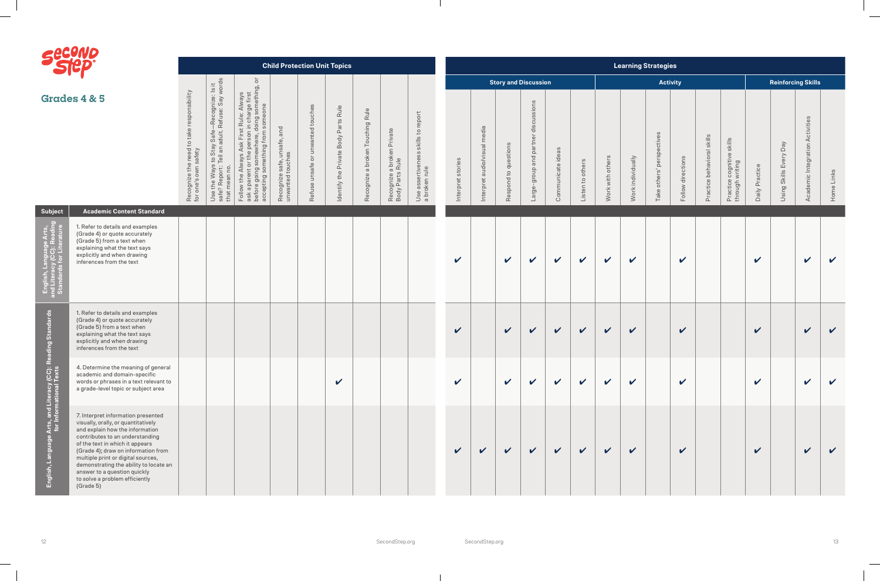- 1



| <b>DISTRIPT</b>                                                       |                                                                                                                                                                                                                                                                                                                                                                                          |                                                                                           |                                                                                                                                                                                                                                                  |                                                                                                                                                                                                                                                                                  |                                                    | <b>Child Protection Unit Topics</b> |                                                 |                                  |                                               |                                                                                    |                            |                              |                      |                                        |                   |                  |                            |                   | <b>Learning Strategies</b>    |                            |                               |                                                   |                            |                           |                                 |              |
|-----------------------------------------------------------------------|------------------------------------------------------------------------------------------------------------------------------------------------------------------------------------------------------------------------------------------------------------------------------------------------------------------------------------------------------------------------------------------|-------------------------------------------------------------------------------------------|--------------------------------------------------------------------------------------------------------------------------------------------------------------------------------------------------------------------------------------------------|----------------------------------------------------------------------------------------------------------------------------------------------------------------------------------------------------------------------------------------------------------------------------------|----------------------------------------------------|-------------------------------------|-------------------------------------------------|----------------------------------|-----------------------------------------------|------------------------------------------------------------------------------------|----------------------------|------------------------------|----------------------|----------------------------------------|-------------------|------------------|----------------------------|-------------------|-------------------------------|----------------------------|-------------------------------|---------------------------------------------------|----------------------------|---------------------------|---------------------------------|--------------|
|                                                                       |                                                                                                                                                                                                                                                                                                                                                                                          |                                                                                           | က                                                                                                                                                                                                                                                | $\overline{\sigma}$                                                                                                                                                                                                                                                              |                                                    |                                     |                                                 |                                  |                                               |                                                                                    |                            |                              |                      | <b>Story and Discussion</b>            |                   |                  |                            |                   | <b>Activity</b>               |                            |                               |                                                   |                            | <b>Reinforcing Skills</b> |                                 |              |
|                                                                       | <b>Grades 4 &amp; 5</b>                                                                                                                                                                                                                                                                                                                                                                  | responsibility<br>e need to take r<br>safety<br>ize the<br>s own<br>Recogniz<br>for one's | -Recognize: Is it<br>Refuse: Say words<br>$\overline{1}$ $\alpha$<br>$\begin{array}{c}\n\frac{d}{d\theta} \\ \frac{d}{d\theta} \\ \frac{d}{d\theta}\n\end{array}$<br>Stay<br>Veta<br>$\mathbb{S}^1$<br>Ways '<br>Use the<br>safe? Re<br>that mea | rst Rule: Always<br>nn in charge first<br>'', doing something, o<br>m someone<br>ng somewhere, u.<br>something from s<br>$\circ$<br>$\frac{8}{5}$<br>pe<br>◁<br>$\omega$<br>$\frac{1}{2}$<br>ť<br>goin<br>the<br>before goir<br>accepting :<br>∘<br>Follow<br>G<br>$\frac{1}{5}$ | and<br>Recognize safe, unsafe,<br>unwanted touches | Refuse unsafe or unwanted touches   | Rule<br>Parts<br>Body<br>Private<br>dentify the | Recognize a broken Touching Rule | Recognize a broken Private<br>Body Parts Rule | report<br>$\mathbb{C}$<br>skills<br>$\omega$<br>Use assertiveness<br>a broken rule | stories<br>Interpret       | Interpret audiolvisual media | Respond to questions | discussions<br>Large-group and partner | Communicate ideas | Listen to others | with others<br>Work        | Work individually | ectives<br>Take others' persp | directions<br>Follow       | skills<br>Practice behavioral | skills<br>Practice cognitive s<br>through writing | Practice<br>Daily          | Using Skills Every Day    | Academic Integration Activities | Home Links   |
| Subject                                                               | <b>Academic Content Standard</b>                                                                                                                                                                                                                                                                                                                                                         |                                                                                           |                                                                                                                                                                                                                                                  |                                                                                                                                                                                                                                                                                  |                                                    |                                     |                                                 |                                  |                                               |                                                                                    |                            |                              |                      |                                        |                   |                  |                            |                   |                               |                            |                               |                                                   |                            |                           |                                 |              |
| lish, Language Arts,<br>iteracy (CC): Reading<br>dards for Literature | 1. Refer to details and examples<br>(Grade 4) or quote accurately<br>(Grade 5) from a text when<br>explaining what the text says<br>explicitly and when drawing<br>inferences from the text                                                                                                                                                                                              |                                                                                           |                                                                                                                                                                                                                                                  |                                                                                                                                                                                                                                                                                  |                                                    |                                     |                                                 |                                  |                                               |                                                                                    | $\checkmark$               |                              | $\checkmark$         | $\mathbf v$                            | $\mathbf v$       | $\checkmark$     | $\boldsymbol{\mathcal{U}}$ | $\checkmark$      |                               | $\boldsymbol{\mathcal{U}}$ |                               |                                                   | $\boldsymbol{\mathcal{U}}$ |                           | $\checkmark$                    | $\checkmark$ |
| <b>Reading Standards</b>                                              | 1. Refer to details and examples<br>(Grade 4) or quote accurately<br>(Grade 5) from a text when<br>explaining what the text says<br>explicitly and when drawing<br>inferences from the text                                                                                                                                                                                              |                                                                                           |                                                                                                                                                                                                                                                  |                                                                                                                                                                                                                                                                                  |                                                    |                                     |                                                 |                                  |                                               |                                                                                    | $\checkmark$               |                              | $\checkmark$         | $\checkmark$                           | $\checkmark$      | $\checkmark$     | $\checkmark$               | $\checkmark$      |                               | $\checkmark$               |                               |                                                   | $\checkmark$               |                           | $\checkmark$                    | $\checkmark$ |
|                                                                       | 4. Determine the meaning of general<br>academic and domain-specific<br>words or phrases in a text relevant to<br>a grade-level topic or subject area                                                                                                                                                                                                                                     |                                                                                           |                                                                                                                                                                                                                                                  |                                                                                                                                                                                                                                                                                  |                                                    |                                     | $\mathbf v$                                     |                                  |                                               |                                                                                    | $\boldsymbol{\mathcal{U}}$ |                              | $\mathbf v$          | $\boldsymbol{\mathcal{U}}$             | $\checkmark$      | $\checkmark$     | $\sqrt{2}$                 | $\checkmark$      |                               | $\mathbf v$                |                               |                                                   | $\boldsymbol{\mathcal{U}}$ |                           | $\mathbf v$                     |              |
| English, Language Arts, and Literacy (CC)<br>for Informational Texts  | 7. Interpret information presented<br>visually, orally, or quantitatively<br>and explain how the information<br>contributes to an understanding<br>of the text in which it appears<br>(Grade 4); draw on information from<br>multiple print or digital sources,<br>demonstrating the ability to locate an<br>answer to a question quickly<br>to solve a problem efficiently<br>(Grade 5) |                                                                                           |                                                                                                                                                                                                                                                  |                                                                                                                                                                                                                                                                                  |                                                    |                                     |                                                 |                                  |                                               |                                                                                    | $\mathbf{v}$               | $\checkmark$                 | $\checkmark$         | $\checkmark$                           | $\checkmark$      | $\checkmark$     | $\checkmark$               | $\checkmark$      |                               | $\checkmark$               |                               |                                                   | $\checkmark$               |                           | $\checkmark$                    |              |

 $\mathbf{L}$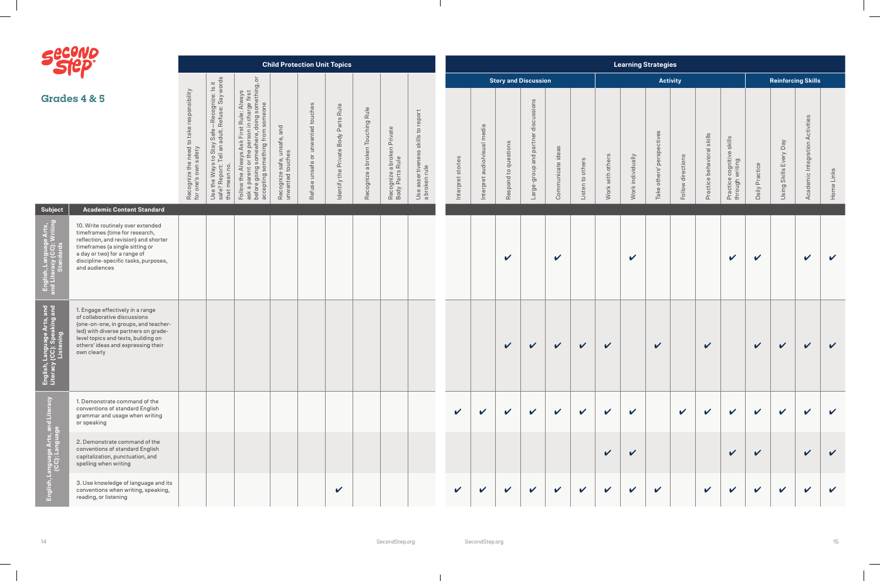$\overline{\phantom{0}}$ 

 $\frac{1}{2}$ 

 $\overline{\phantom{a}}$ 

 $\sim$ 

| <b>Albert Street</b> | <b>94</b><br>Γ, |
|----------------------|-----------------|
|                      |                 |

| <b>Siep</b>                                                             |                                                                                                                                                                                                                                              |                                                                   |                                                                                                                                                        |                                                                                                                                                                                                                                                                                                              |                                                    |                                   | <b>Child Protection Unit Topics</b>  |                                     |                                               |                                                             |                      |                                 |                             |                                               |                   |                  |                        | <b>Learning Strategies</b> |                           |                      |                            |                                                           |                            |                        |                                 |              |
|-------------------------------------------------------------------------|----------------------------------------------------------------------------------------------------------------------------------------------------------------------------------------------------------------------------------------------|-------------------------------------------------------------------|--------------------------------------------------------------------------------------------------------------------------------------------------------|--------------------------------------------------------------------------------------------------------------------------------------------------------------------------------------------------------------------------------------------------------------------------------------------------------------|----------------------------------------------------|-----------------------------------|--------------------------------------|-------------------------------------|-----------------------------------------------|-------------------------------------------------------------|----------------------|---------------------------------|-----------------------------|-----------------------------------------------|-------------------|------------------|------------------------|----------------------------|---------------------------|----------------------|----------------------------|-----------------------------------------------------------|----------------------------|------------------------|---------------------------------|--------------|
|                                                                         |                                                                                                                                                                                                                                              |                                                                   |                                                                                                                                                        | $\overline{\circ}$                                                                                                                                                                                                                                                                                           |                                                    |                                   |                                      |                                     |                                               |                                                             |                      |                                 | <b>Story and Discussion</b> |                                               |                   |                  |                        |                            | <b>Activity</b>           |                      |                            |                                                           |                            |                        | <b>Reinforcing Skills</b>       |              |
|                                                                         | <b>Grades 4 &amp; 5</b>                                                                                                                                                                                                                      | Recognize the need to take responsibility<br>for one's own safety | / Safe—Recognize: Is it<br>adult. Refuse: Say words<br>to Stay<br>Tell an a<br>he Ways<br>Report: 1<br>$\ddot{\ge}$<br>Use the<br>safe? Re<br>that mea | st Rule: Always<br>1 in charge first<br>doing something, c<br>1 someone<br>doing<br>5h<br>mething from<br>$\overline{5}$<br>$\vec{\mathbb{O}}$<br>Ф<br>or the pe<br>somewh<br>⋖<br>ays A<br>rthe<br>$\overleftarrow{\mathrm{o}}$<br>₹<br>Follow the Alw<br>ask a parent o<br>before going s<br>accepting sor | and<br>Recognize safe, unsafe,<br>unwanted touches | Refuse unsafe or unwanted touches | Identify the Private Body Parts Rule | Rule<br>Recognize a broken Touching | Recognize a broken Private<br>Body Parts Rule | skills to report<br>ness<br>Use assertiver<br>a broken rule | stories<br>Interpret | media<br>Interpret audio/visual | Respond to questions        | discussions<br>partner<br>group and<br>Large- | Communicate ideas | Listen to others | others<br>with<br>Work | Work individually          | Take others' perspectives | directions<br>Follow | Practice behavioral skills | skills<br>cognitive s<br>writing<br>Practice<br>through v | Practice<br>Daily          | Using Skills Every Day | Academic Integration Activities | Home Links   |
| Subject                                                                 | <b>Academic Content Standard</b>                                                                                                                                                                                                             |                                                                   |                                                                                                                                                        |                                                                                                                                                                                                                                                                                                              |                                                    |                                   |                                      |                                     |                                               |                                                             |                      |                                 |                             |                                               |                   |                  |                        |                            |                           |                      |                            |                                                           |                            |                        |                                 |              |
| English, Language Arts,<br>and Literacy (CC): Writing<br>Standards      | 10. Write routinely over extended<br>timeframes (time for research,<br>reflection, and revision) and shorter<br>timeframes (a single sitting or<br>a day or two) for a range of<br>discipline-specific tasks, purposes,<br>and audiences     |                                                                   |                                                                                                                                                        |                                                                                                                                                                                                                                                                                                              |                                                    |                                   |                                      |                                     |                                               |                                                             |                      |                                 | $\checkmark$                |                                               | V                 |                  |                        | $\boldsymbol{\mathcal{U}}$ |                           |                      |                            | $\checkmark$                                              | $\checkmark$               |                        | $\checkmark$                    | $\checkmark$ |
| English, Language Arts, and<br>Literacy (CC): Speaking and<br>Listening | 1. Engage effectively in a range<br>of collaborative discussions<br>(one-on-one, in groups, and teacher-<br>led) with diverse partners on grade-<br>level topics and texts, building on<br>others' ideas and expressing their<br>own clearly |                                                                   |                                                                                                                                                        |                                                                                                                                                                                                                                                                                                              |                                                    |                                   |                                      |                                     |                                               |                                                             |                      |                                 | $\checkmark$                | $\checkmark$                                  | $\checkmark$      | $\checkmark$     | $\checkmark$           |                            | $\checkmark$              |                      | $\checkmark$               |                                                           | $\checkmark$               | $\sqrt{2}$             | $\checkmark$                    | $\checkmark$ |
| $\tilde{c}$<br>nd Litera                                                | 1. Demonstrate command of the<br>conventions of standard English<br>grammar and usage when writing<br>or speaking                                                                                                                            |                                                                   |                                                                                                                                                        |                                                                                                                                                                                                                                                                                                              |                                                    |                                   |                                      |                                     |                                               |                                                             | $\checkmark$         | $\mathbf v$                     | $\checkmark$                | $\checkmark$                                  | $\checkmark$      | $\mathbf{v}$     | $\checkmark$           | $\checkmark$               |                           | $\checkmark$         | $\mathbf{v}$               | $\checkmark$                                              | $\checkmark$               | $\mathbf{v}$           | $\sqrt{ }$                      | $\mathbf v$  |
|                                                                         | 2. Demonstrate command of the<br>conventions of standard English<br>capitalization, punctuation, and<br>spelling when writing                                                                                                                |                                                                   |                                                                                                                                                        |                                                                                                                                                                                                                                                                                                              |                                                    |                                   |                                      |                                     |                                               |                                                             |                      |                                 |                             |                                               |                   |                  | $\checkmark$           | $\boldsymbol{\mathcal{U}}$ |                           |                      |                            | $\checkmark$                                              | $\checkmark$               |                        | $\mathbf{v}$                    |              |
| English, Language<br>CC): La                                            | 3. Use knowledge of language and its<br>conventions when writing, speaking,<br>reading, or listening                                                                                                                                         |                                                                   |                                                                                                                                                        |                                                                                                                                                                                                                                                                                                              |                                                    |                                   | $\boldsymbol{\mathcal{U}}$           |                                     |                                               |                                                             | $\mathbf v$          | $\mathbf{v}$                    | $\mathbf v$                 | $\checkmark$                                  | $\sqrt{2}$        | $\sqrt{2}$       | $\checkmark$           | $\checkmark$               | $\checkmark$              |                      | $\checkmark$               | $\checkmark$                                              | $\boldsymbol{\mathcal{U}}$ | $\checkmark$           | $\checkmark$                    |              |

 $\mathbf{I}$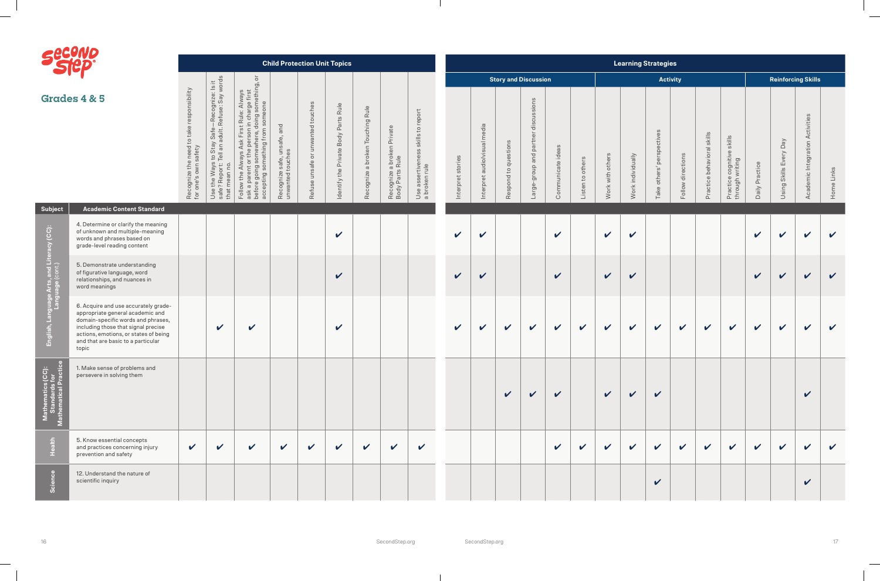| 0<br>N |
|--------|
|        |

|                                                                 |                                                                                                                                                                                                                                               |                                                                                   |                                                                                                                                                                                      |                                                                                                                                                                                                                                                                                                                   | <b>Child Protection Unit Topics</b>                          |                                                      |                                                        |                                  |                                                                        |                                                                      |                   |                              |                      |                                                 |                   |                  |                            | <b>Learning Strategies</b> |                              |                            |                            |                                                   |                            |                           |                                 |              |
|-----------------------------------------------------------------|-----------------------------------------------------------------------------------------------------------------------------------------------------------------------------------------------------------------------------------------------|-----------------------------------------------------------------------------------|--------------------------------------------------------------------------------------------------------------------------------------------------------------------------------------|-------------------------------------------------------------------------------------------------------------------------------------------------------------------------------------------------------------------------------------------------------------------------------------------------------------------|--------------------------------------------------------------|------------------------------------------------------|--------------------------------------------------------|----------------------------------|------------------------------------------------------------------------|----------------------------------------------------------------------|-------------------|------------------------------|----------------------|-------------------------------------------------|-------------------|------------------|----------------------------|----------------------------|------------------------------|----------------------------|----------------------------|---------------------------------------------------|----------------------------|---------------------------|---------------------------------|--------------|
|                                                                 |                                                                                                                                                                                                                                               |                                                                                   |                                                                                                                                                                                      | $\overline{\circ}$                                                                                                                                                                                                                                                                                                |                                                              |                                                      |                                                        |                                  |                                                                        |                                                                      |                   |                              |                      | <b>Story and Discussion</b>                     |                   |                  |                            |                            |                              | <b>Activity</b>            |                            |                                                   |                            | <b>Reinforcing Skills</b> |                                 |              |
|                                                                 | <b>Grades 4 &amp; 5</b>                                                                                                                                                                                                                       | responsibility<br>need to take r<br>safety<br>Recognize the r<br>for one's own sa | Safe—Recognize: Is it<br>dult. Refuse: Say words<br>Stay<br>Π<br>$\frac{1}{10}$<br>Ways <sup>1</sup><br>$\circ$<br>$\overline{a}$<br>G<br>e the<br>e? Re<br>ε<br>Use<br>safe<br>that | e: Always<br>arge first<br>something, c<br>someone<br>n in char <sub>i</sub><br>doing so<br>Rule:<br>from<br>before going somewh<br>accepting something<br>$\Omega$<br>$\omega$<br>운<br>$\overleftarrow{\circ}$<br>$\overline{\text{c}}$<br>$\prec$<br>$\oplus$<br>$\Omega$<br>Follow<br>$\sigma$<br>befor<br>ask | and<br>iafe,<br>ഗ<br>Recognize safe, uns<br>unwanted touches | unwanted touches<br>$\overline{O}$<br>isaf<br>Refuse | Rule<br>Body Parts<br>Private<br>Identify the <b>F</b> | Recognize a broken Touching Rule | <sup>9</sup> a broken Private<br>s Rule<br>Recognize a<br>Body Parts I | report<br>$\overline{c}$<br>skills<br>Use assertive<br>a broken rule | Interpret stories | Interpret audiolvisual media | Respond to questions | discussions<br>partner<br>and<br>dnou6<br>Large | Communicate ideas | Listen to others | others<br>Work with        | Work individually          | perspectives<br>Take others' | Follow directions          | Practice behavioral skills | skills<br>Practice cognitive s<br>through writing | Practice<br>Daily          | Using Skills Every Day    | Academic Integration Activities | Home Links   |
| <b>Subject</b>                                                  | <b>Academic Content Standard</b>                                                                                                                                                                                                              |                                                                                   |                                                                                                                                                                                      |                                                                                                                                                                                                                                                                                                                   |                                                              |                                                      |                                                        |                                  |                                                                        |                                                                      |                   |                              |                      |                                                 |                   |                  |                            |                            |                              |                            |                            |                                                   |                            |                           |                                 |              |
|                                                                 | 4. Determine or clarify the meaning<br>of unknown and multiple-meaning<br>words and phrases based on<br>grade-level reading content                                                                                                           |                                                                                   |                                                                                                                                                                                      |                                                                                                                                                                                                                                                                                                                   |                                                              |                                                      | $\boldsymbol{\mathcal{U}}$                             |                                  |                                                                        |                                                                      | $\mathbf v$       | $\checkmark$                 |                      |                                                 | $\mathbf v$       |                  | $\boldsymbol{\mathcal{U}}$ | $\checkmark$               |                              |                            |                            |                                                   | $\boldsymbol{\mathcal{U}}$ | $\checkmark$              | $\mathbf v$                     | $\vee$       |
|                                                                 | 5. Demonstrate understanding<br>of figurative language, word<br>relationships, and nuances in<br>word meanings                                                                                                                                |                                                                                   |                                                                                                                                                                                      |                                                                                                                                                                                                                                                                                                                   |                                                              |                                                      | $\mathbf v$                                            |                                  |                                                                        |                                                                      | $\checkmark$      | $\boldsymbol{\mathcal{U}}$   |                      |                                                 | $\checkmark$      |                  | $\checkmark$               | $\checkmark$               |                              |                            |                            |                                                   | $\mathbf v$                | $\checkmark$              | $\mathbf{v}$                    | $\checkmark$ |
| English, Language Arts, and Literacy (CC):<br>Language (cont.)  | 6. Acquire and use accurately grade-<br>appropriate general academic and<br>domain-specific words and phrases,<br>including those that signal precise<br>actions, emotions, or states of being<br>and that are basic to a particular<br>topic |                                                                                   | $\checkmark$                                                                                                                                                                         | $\boldsymbol{\mathcal{U}}$                                                                                                                                                                                                                                                                                        |                                                              |                                                      | $\boldsymbol{\mathcal{U}}$                             |                                  |                                                                        |                                                                      | $\checkmark$      | $\checkmark$                 | $\sqrt{2}$           | $\checkmark$                                    | $\checkmark$      | $\checkmark$     | $\mathbf v$                | $\checkmark$               | $\checkmark$                 | $\boldsymbol{\mathcal{U}}$ | $\checkmark$               | $\checkmark$                                      | $\checkmark$               | $\checkmark$              | $\mathbf v$                     | $\checkmark$ |
| ီ<br>Mathematics (CC):<br>Standards for<br>Mathematical Practic | 1. Make sense of problems and<br>persevere in solving them                                                                                                                                                                                    |                                                                                   |                                                                                                                                                                                      |                                                                                                                                                                                                                                                                                                                   |                                                              |                                                      |                                                        |                                  |                                                                        |                                                                      |                   |                              | $\checkmark$         | $\mathbf{v}$                                    | $\checkmark$      |                  | $\mathbf{v}$               | $\sqrt{2}$                 | $\checkmark$                 |                            |                            |                                                   |                            |                           | $\checkmark$                    |              |
| Health                                                          | 5. Know essential concepts<br>and practices concerning injury<br>prevention and safety                                                                                                                                                        | $\checkmark$                                                                      | $\boldsymbol{\mathcal{U}}$                                                                                                                                                           | $\boldsymbol{\mathcal{U}}$                                                                                                                                                                                                                                                                                        | $\checkmark$                                                 | $\checkmark$                                         | $\mathbf{v}$                                           | $\checkmark$                     | $\checkmark$                                                           | $\checkmark$                                                         |                   |                              |                      |                                                 | $\checkmark$      | $\checkmark$     | $\mathbf v$                | $\mathbf v$                | $\checkmark$                 | $\sqrt{2}$                 | $\mathbf v$                | $\mathbf v$                                       | $\checkmark$               | $\checkmark$              | $\mathbf v$                     | $\mathbf v$  |
| Science                                                         | 12. Understand the nature of<br>scientific inquiry                                                                                                                                                                                            |                                                                                   |                                                                                                                                                                                      |                                                                                                                                                                                                                                                                                                                   |                                                              |                                                      |                                                        |                                  |                                                                        |                                                                      |                   |                              |                      |                                                 |                   |                  |                            |                            | $\checkmark$                 |                            |                            |                                                   |                            |                           | $\checkmark$                    |              |

 $\mathbf{I}$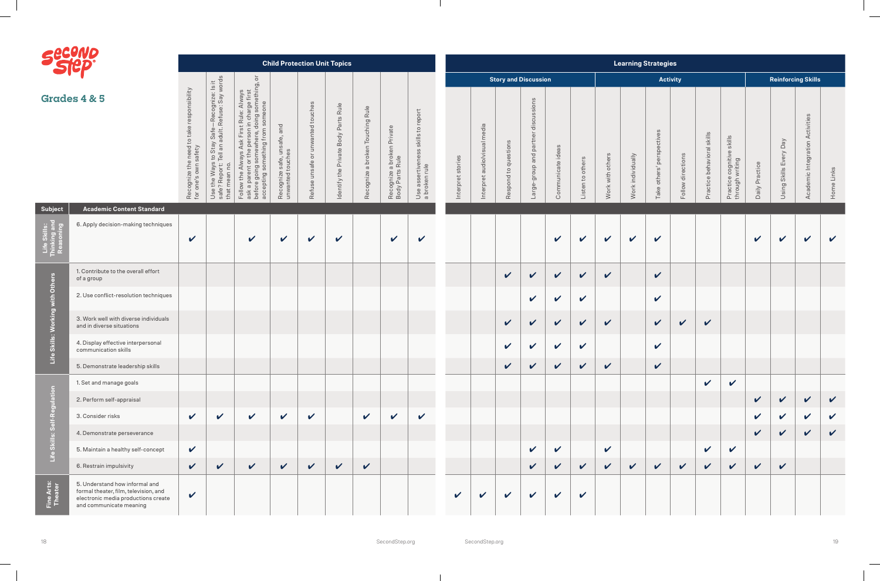| <b>Albert Street</b> | <b>94</b><br>Γ, |
|----------------------|-----------------|
|                      |                 |

| <b>PERP</b>                      |                                                                                                                                           |                                                                             |                                                                                                                                                 |                                                                                                                                                                                                                                                                                                                                   |                                                           |                                   | <b>Child Protection Unit Topics</b>     |                                  |                                               |                                                        |                      |                                 |                             |                                                |                    |                    |                        | <b>Learning Strategies</b> |                           |                            |                               |                                              |                            |                           |                                 |              |
|----------------------------------|-------------------------------------------------------------------------------------------------------------------------------------------|-----------------------------------------------------------------------------|-------------------------------------------------------------------------------------------------------------------------------------------------|-----------------------------------------------------------------------------------------------------------------------------------------------------------------------------------------------------------------------------------------------------------------------------------------------------------------------------------|-----------------------------------------------------------|-----------------------------------|-----------------------------------------|----------------------------------|-----------------------------------------------|--------------------------------------------------------|----------------------|---------------------------------|-----------------------------|------------------------------------------------|--------------------|--------------------|------------------------|----------------------------|---------------------------|----------------------------|-------------------------------|----------------------------------------------|----------------------------|---------------------------|---------------------------------|--------------|
|                                  |                                                                                                                                           |                                                                             |                                                                                                                                                 | $\overline{\circ}$                                                                                                                                                                                                                                                                                                                |                                                           |                                   |                                         |                                  |                                               |                                                        |                      |                                 | <b>Story and Discussion</b> |                                                |                    |                    |                        |                            | <b>Activity</b>           |                            |                               |                                              |                            | <b>Reinforcing Skills</b> |                                 |              |
|                                  | <b>Grades 4 &amp; 5</b>                                                                                                                   | need to take responsibility<br>afety<br>Recognize the r<br>for one's own sa | e-Recognize: Is it<br>t. Refuse: Say words<br>Safi<br>Jub<br>to Stay !<br>Tell an ao<br>Ways<br>port: T<br>the<br>Use that m<br>safe?<br>that m | st Rule: Always<br>n in charge first<br>, doing something, c<br>m someone<br>5t<br>mething from<br>$\ddot{\circ}$<br>に<br>エ<br>$\circ$<br>$\frac{1}{3}$<br>$\Omega$<br>⋖<br>$\omega$<br>s/e<br>÷<br>$\circ$<br>$\overleftarrow{\mathrm{o}}$<br>₹<br>g<br>$\circ$<br>Follow the Al<br>ask a parent<br>before going<br>accepting sc | and<br>unsafe,<br>Recognize safe, uns<br>unwanted touches | Refuse unsafe or unwanted touches | Body Parts Rule<br>Identify the Private | Recognize a broken Touching Rule | Recognize a broken Private<br>Body Parts Rule | skills to report<br>Use assertiveness<br>a broken rule | stories<br>Interpret | media<br>Interpret audio/visual | Respond to questions        | discussions<br>partner<br>bue dno.fo-<br>arge- | Communicate ideas  | Listen to others   | others<br>with<br>Work | Work individually          | Take others' perspectives | directions<br>Follow       | skills<br>Practice behavioral | Practice cognitive skills<br>through writing | Practice<br>Daily          | Using Skills Every Day    | Academic Integration Activities | Home Links   |
| Subject                          | <b>Academic Content Standard</b>                                                                                                          |                                                                             |                                                                                                                                                 |                                                                                                                                                                                                                                                                                                                                   |                                                           |                                   |                                         |                                  |                                               |                                                        |                      |                                 |                             |                                                |                    |                    |                        |                            |                           |                            |                               |                                              |                            |                           |                                 |              |
|                                  | 6. Apply decision-making techniques                                                                                                       | $\boldsymbol{\mathcal{U}}$                                                  |                                                                                                                                                 | $\checkmark$                                                                                                                                                                                                                                                                                                                      | $\checkmark$                                              | $\mathbf v$                       | $\checkmark$                            |                                  | $\checkmark$                                  | V                                                      |                      |                                 |                             |                                                | V                  | $\checkmark$       | $\checkmark$           | $\checkmark$               | $\checkmark$              |                            |                               |                                              | $\boldsymbol{\mathcal{U}}$ | V                         | $\checkmark$                    | $\mathbf v$  |
|                                  | 1. Contribute to the overall effort<br>of a group                                                                                         |                                                                             |                                                                                                                                                 |                                                                                                                                                                                                                                                                                                                                   |                                                           |                                   |                                         |                                  |                                               |                                                        |                      |                                 | $\checkmark$                | $\mathbf v$                                    | $\mathbf v$        | $\checkmark$       | $\checkmark$           |                            | $\checkmark$              |                            |                               |                                              |                            |                           |                                 |              |
| Life Skills: Working with Others | 2. Use conflict-resolution techniques                                                                                                     |                                                                             |                                                                                                                                                 |                                                                                                                                                                                                                                                                                                                                   |                                                           |                                   |                                         |                                  |                                               |                                                        |                      |                                 |                             | $\boldsymbol{\mathcal{U}}$                     | $\mathbf v$        | $\checkmark$       |                        |                            | $\checkmark$              |                            |                               |                                              |                            |                           |                                 |              |
|                                  | 3. Work well with diverse individuals<br>and in diverse situations                                                                        |                                                                             |                                                                                                                                                 |                                                                                                                                                                                                                                                                                                                                   |                                                           |                                   |                                         |                                  |                                               |                                                        |                      |                                 | $\checkmark$                | $\checkmark$                                   | $\checkmark$       | $\checkmark$       | $\checkmark$           |                            | $\checkmark$              | $\boldsymbol{\mathcal{U}}$ | V                             |                                              |                            |                           |                                 |              |
|                                  | 4. Display effective interpersonal<br>communication skills                                                                                |                                                                             |                                                                                                                                                 |                                                                                                                                                                                                                                                                                                                                   |                                                           |                                   |                                         |                                  |                                               |                                                        |                      |                                 | $\checkmark$                | $\boldsymbol{\mathcal{U}}$                     | $\checkmark$       | $\checkmark$       |                        |                            | $\checkmark$              |                            |                               |                                              |                            |                           |                                 |              |
|                                  | 5. Demonstrate leadership skills                                                                                                          |                                                                             |                                                                                                                                                 |                                                                                                                                                                                                                                                                                                                                   |                                                           |                                   |                                         |                                  |                                               |                                                        |                      |                                 | $\boldsymbol{\nu}$          | $\boldsymbol{\nu}$                             | $\boldsymbol{\nu}$ | $\boldsymbol{\nu}$ | $\boldsymbol{\nu}$     |                            | $\boldsymbol{\nu}$        |                            |                               |                                              |                            |                           |                                 |              |
|                                  | 1. Set and manage goals                                                                                                                   |                                                                             |                                                                                                                                                 |                                                                                                                                                                                                                                                                                                                                   |                                                           |                                   |                                         |                                  |                                               |                                                        |                      |                                 |                             |                                                |                    |                    |                        |                            |                           |                            | $\mathbf{v}$                  | $\checkmark$                                 |                            |                           |                                 |              |
|                                  | 2. Perform self-appraisal                                                                                                                 |                                                                             |                                                                                                                                                 |                                                                                                                                                                                                                                                                                                                                   |                                                           |                                   |                                         |                                  |                                               |                                                        |                      |                                 |                             |                                                |                    |                    |                        |                            |                           |                            |                               |                                              | $\checkmark$               | $\checkmark$              | $\checkmark$                    | $\checkmark$ |
| Skills: Self-Regulation          | 3. Consider risks                                                                                                                         | $\mathbf v$                                                                 | $\mathbf v$                                                                                                                                     | $\checkmark$                                                                                                                                                                                                                                                                                                                      | $\checkmark$                                              | $\checkmark$                      |                                         | $\checkmark$                     | $\checkmark$                                  | $\checkmark$                                           |                      |                                 |                             |                                                |                    |                    |                        |                            |                           |                            |                               |                                              | $\checkmark$               | $\mathbf v$               | $\checkmark$                    | $\mathbf v$  |
|                                  | 4. Demonstrate perseverance                                                                                                               |                                                                             |                                                                                                                                                 |                                                                                                                                                                                                                                                                                                                                   |                                                           |                                   |                                         |                                  |                                               |                                                        |                      |                                 |                             |                                                |                    |                    |                        |                            |                           |                            |                               |                                              | $\checkmark$               | $\checkmark$              | $\checkmark$                    | $\checkmark$ |
| Life                             | 5. Maintain a healthy self-concept                                                                                                        | $\checkmark$                                                                |                                                                                                                                                 |                                                                                                                                                                                                                                                                                                                                   |                                                           |                                   |                                         |                                  |                                               |                                                        |                      |                                 |                             | $\boldsymbol{\mathcal{U}}$                     | $\checkmark$       |                    | $\checkmark$           |                            |                           |                            | V                             | $\checkmark$                                 |                            |                           |                                 |              |
|                                  | 6. Restrain impulsivity                                                                                                                   | $\mathbf v$                                                                 | $\checkmark$                                                                                                                                    | $\checkmark$                                                                                                                                                                                                                                                                                                                      | $\checkmark$                                              | $\checkmark$                      | $\checkmark$                            | $\checkmark$                     |                                               |                                                        |                      |                                 |                             | $\checkmark$                                   | $\checkmark$       | $\checkmark$       | $\checkmark$           | $\checkmark$               | $\checkmark$              | $\checkmark$               | $\checkmark$                  | $\checkmark$                                 | $\checkmark$               | $\checkmark$              |                                 |              |
| Fine Arts:<br>Theater            | 5. Understand how informal and<br>formal theater, film, television, and<br>electronic media productions create<br>and communicate meaning | $\checkmark$                                                                |                                                                                                                                                 |                                                                                                                                                                                                                                                                                                                                   |                                                           |                                   |                                         |                                  |                                               |                                                        | $\checkmark$         | $\checkmark$                    | $\checkmark$                | $\mathbf v$                                    | $\checkmark$       | $\checkmark$       |                        |                            |                           |                            |                               |                                              |                            |                           |                                 |              |

 $\blacksquare$